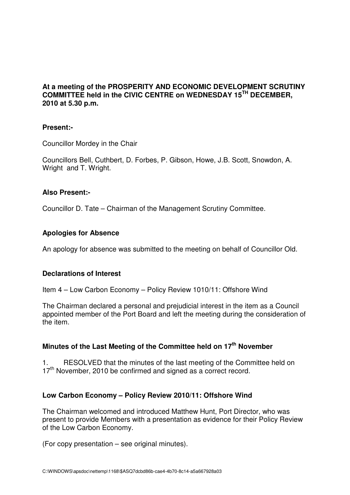#### **At a meeting of the PROSPERITY AND ECONOMIC DEVELOPMENT SCRUTINY COMMITTEE held in the CIVIC CENTRE on WEDNESDAY 15TH DECEMBER, 2010 at 5.30 p.m.**

#### **Present:-**

Councillor Mordey in the Chair

Councillors Bell, Cuthbert, D. Forbes, P. Gibson, Howe, J.B. Scott, Snowdon, A. Wright and T. Wright.

#### **Also Present:-**

Councillor D. Tate – Chairman of the Management Scrutiny Committee.

### **Apologies for Absence**

An apology for absence was submitted to the meeting on behalf of Councillor Old.

#### **Declarations of Interest**

Item 4 – Low Carbon Economy – Policy Review 1010/11: Offshore Wind

The Chairman declared a personal and prejudicial interest in the item as a Council appointed member of the Port Board and left the meeting during the consideration of the item.

# **Minutes of the Last Meeting of the Committee held on 17th November**

1. RESOLVED that the minutes of the last meeting of the Committee held on  $17<sup>th</sup>$  November, 2010 be confirmed and signed as a correct record.

#### **Low Carbon Economy – Policy Review 2010/11: Offshore Wind**

The Chairman welcomed and introduced Matthew Hunt, Port Director, who was present to provide Members with a presentation as evidence for their Policy Review of the Low Carbon Economy.

(For copy presentation – see original minutes).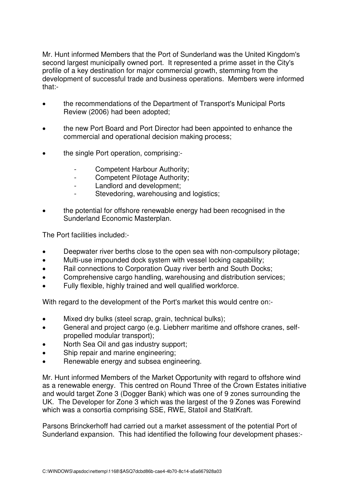Mr. Hunt informed Members that the Port of Sunderland was the United Kingdom's second largest municipally owned port. It represented a prime asset in the City's profile of a key destination for major commercial growth, stemming from the development of successful trade and business operations. Members were informed that:-

- the recommendations of the Department of Transport's Municipal Ports Review (2006) had been adopted;
- the new Port Board and Port Director had been appointed to enhance the commercial and operational decision making process;
- the single Port operation, comprising:-
	- Competent Harbour Authority;
	- Competent Pilotage Authority;
	- Landlord and development;
	- Stevedoring, warehousing and logistics;
- the potential for offshore renewable energy had been recognised in the Sunderland Economic Masterplan.

The Port facilities included:-

- Deepwater river berths close to the open sea with non-compulsory pilotage;
- Multi-use impounded dock system with vessel locking capability;
- Rail connections to Corporation Quay river berth and South Docks;
- Comprehensive cargo handling, warehousing and distribution services;
- Fully flexible, highly trained and well qualified workforce.

With regard to the development of the Port's market this would centre on:-

- Mixed dry bulks (steel scrap, grain, technical bulks);
- General and project cargo (e.g. Liebherr maritime and offshore cranes, selfpropelled modular transport);
- North Sea Oil and gas industry support;
- Ship repair and marine engineering;
- Renewable energy and subsea engineering.

Mr. Hunt informed Members of the Market Opportunity with regard to offshore wind as a renewable energy. This centred on Round Three of the Crown Estates initiative and would target Zone 3 (Dogger Bank) which was one of 9 zones surrounding the UK. The Developer for Zone 3 which was the largest of the 9 Zones was Forewind which was a consortia comprising SSE, RWE, Statoil and StatKraft.

Parsons Brinckerhoff had carried out a market assessment of the potential Port of Sunderland expansion. This had identified the following four development phases:-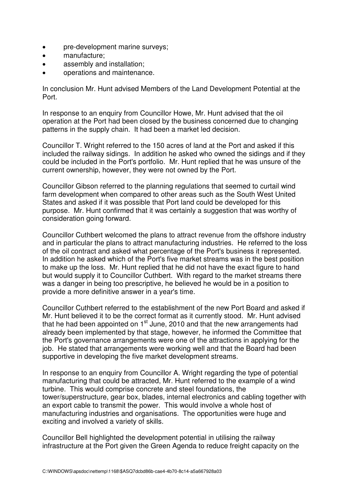- pre-development marine surveys;
- manufacture;
- assembly and installation;
- operations and maintenance.

In conclusion Mr. Hunt advised Members of the Land Development Potential at the Port.

In response to an enquiry from Councillor Howe, Mr. Hunt advised that the oil operation at the Port had been closed by the business concerned due to changing patterns in the supply chain. It had been a market led decision.

Councillor T. Wright referred to the 150 acres of land at the Port and asked if this included the railway sidings. In addition he asked who owned the sidings and if they could be included in the Port's portfolio. Mr. Hunt replied that he was unsure of the current ownership, however, they were not owned by the Port.

Councillor Gibson referred to the planning regulations that seemed to curtail wind farm development when compared to other areas such as the South West United States and asked if it was possible that Port land could be developed for this purpose. Mr. Hunt confirmed that it was certainly a suggestion that was worthy of consideration going forward.

Councillor Cuthbert welcomed the plans to attract revenue from the offshore industry and in particular the plans to attract manufacturing industries. He referred to the loss of the oil contract and asked what percentage of the Port's business it represented. In addition he asked which of the Port's five market streams was in the best position to make up the loss. Mr. Hunt replied that he did not have the exact figure to hand but would supply it to Councillor Cuthbert. With regard to the market streams there was a danger in being too prescriptive, he believed he would be in a position to provide a more definitive answer in a year's time.

Councillor Cuthbert referred to the establishment of the new Port Board and asked if Mr. Hunt believed it to be the correct format as it currently stood. Mr. Hunt advised that he had been appointed on  $1<sup>st</sup>$  June, 2010 and that the new arrangements had already been implemented by that stage, however, he informed the Committee that the Port's governance arrangements were one of the attractions in applying for the job. He stated that arrangements were working well and that the Board had been supportive in developing the five market development streams.

In response to an enquiry from Councillor A. Wright regarding the type of potential manufacturing that could be attracted, Mr. Hunt referred to the example of a wind turbine. This would comprise concrete and steel foundations, the tower/superstructure, gear box, blades, internal electronics and cabling together with an export cable to transmit the power. This would involve a whole host of manufacturing industries and organisations. The opportunities were huge and exciting and involved a variety of skills.

Councillor Bell highlighted the development potential in utilising the railway infrastructure at the Port given the Green Agenda to reduce freight capacity on the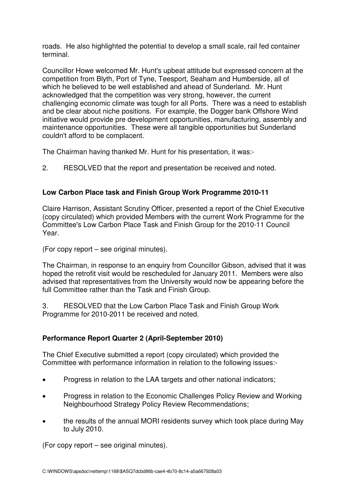roads. He also highlighted the potential to develop a small scale, rail fed container terminal.

Councillor Howe welcomed Mr. Hunt's upbeat attitude but expressed concern at the competition from Blyth, Port of Tyne, Teesport, Seaham and Humberside, all of which he believed to be well established and ahead of Sunderland. Mr. Hunt acknowledged that the competition was very strong, however, the current challenging economic climate was tough for all Ports. There was a need to establish and be clear about niche positions. For example, the Dogger bank Offshore Wind initiative would provide pre development opportunities, manufacturing, assembly and maintenance opportunities. These were all tangible opportunities but Sunderland couldn't afford to be complacent.

The Chairman having thanked Mr. Hunt for his presentation, it was:-

2. RESOLVED that the report and presentation be received and noted.

# **Low Carbon Place task and Finish Group Work Programme 2010-11**

Claire Harrison, Assistant Scrutiny Officer, presented a report of the Chief Executive (copy circulated) which provided Members with the current Work Programme for the Committee's Low Carbon Place Task and Finish Group for the 2010-11 Council Year.

(For copy report – see original minutes).

The Chairman, in response to an enquiry from Councillor Gibson, advised that it was hoped the retrofit visit would be rescheduled for January 2011. Members were also advised that representatives from the University would now be appearing before the full Committee rather than the Task and Finish Group.

3. RESOLVED that the Low Carbon Place Task and Finish Group Work Programme for 2010-2011 be received and noted.

# **Performance Report Quarter 2 (April-September 2010)**

The Chief Executive submitted a report (copy circulated) which provided the Committee with performance information in relation to the following issues:-

- Progress in relation to the LAA targets and other national indicators;
- Progress in relation to the Economic Challenges Policy Review and Working Neighbourhood Strategy Policy Review Recommendations;
- the results of the annual MORI residents survey which took place during May to July 2010.

(For copy report – see original minutes).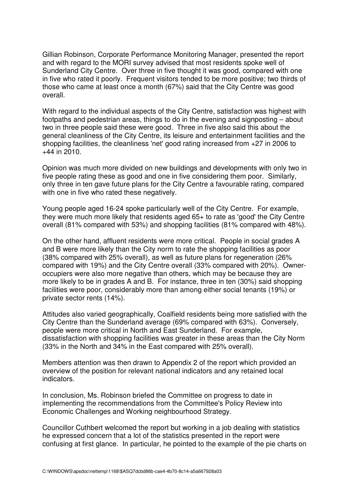Gillian Robinson, Corporate Performance Monitoring Manager, presented the report and with regard to the MORI survey advised that most residents spoke well of Sunderland City Centre. Over three in five thought it was good, compared with one in five who rated it poorly. Frequent visitors tended to be more positive; two thirds of those who came at least once a month (67%) said that the City Centre was good overall.

With regard to the individual aspects of the City Centre, satisfaction was highest with footpaths and pedestrian areas, things to do in the evening and signposting – about two in three people said these were good. Three in five also said this about the general cleanliness of the City Centre, its leisure and entertainment facilities and the shopping facilities, the cleanliness 'net' good rating increased from +27 in 2006 to +44 in 2010.

Opinion was much more divided on new buildings and developments with only two in five people rating these as good and one in five considering them poor. Similarly, only three in ten gave future plans for the City Centre a favourable rating, compared with one in five who rated these negatively.

Young people aged 16-24 spoke particularly well of the City Centre. For example, they were much more likely that residents aged 65+ to rate as 'good' the City Centre overall (81% compared with 53%) and shopping facilities (81% compared with 48%).

On the other hand, affluent residents were more critical. People in social grades A and B were more likely than the City norm to rate the shopping facilities as poor (38% compared with 25% overall), as well as future plans for regeneration (26% compared with 19%) and the City Centre overall (33% compared with 20%). Owneroccupiers were also more negative than others, which may be because they are more likely to be in grades A and B. For instance, three in ten (30%) said shopping facilities were poor, considerably more than among either social tenants (19%) or private sector rents (14%).

Attitudes also varied geographically, Coalfield residents being more satisfied with the City Centre than the Sunderland average (69% compared with 63%). Conversely, people were more critical in North and East Sunderland. For example, dissatisfaction with shopping facilities was greater in these areas than the City Norm (33% in the North and 34% in the East compared with 25% overall).

Members attention was then drawn to Appendix 2 of the report which provided an overview of the position for relevant national indicators and any retained local indicators.

In conclusion, Ms. Robinson briefed the Committee on progress to date in implementing the recommendations from the Committee's Policy Review into Economic Challenges and Working neighbourhood Strategy.

Councillor Cuthbert welcomed the report but working in a job dealing with statistics he expressed concern that a lot of the statistics presented in the report were confusing at first glance. In particular, he pointed to the example of the pie charts on